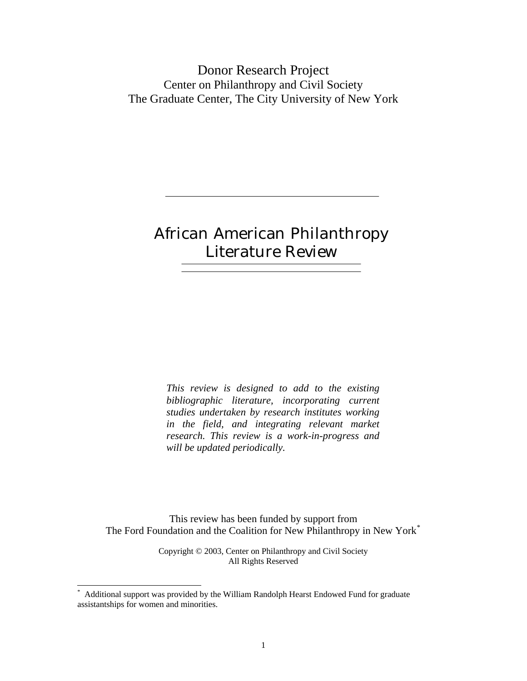Donor Research Project Center on Philanthropy and Civil Society The Graduate Center, The City University of New York

# African American Philanthropy Literature Review

*This review is designed to add to the existing bibliographic literature, incorporating current studies undertaken by research institutes working in the field, and integrating relevant market research. This review is a work-in-progress and will be updated periodically.* 

This review has been funded by support from The Ford Foundation and the Coalition for New Philanthropy in New York[\\*](#page-0-0)

> Copyright © 2003, Center on Philanthropy and Civil Society All Rights Reserved

 $\overline{a}$ 

<span id="page-0-0"></span><sup>\*</sup> Additional support was provided by the William Randolph Hearst Endowed Fund for graduate assistantships for women and minorities.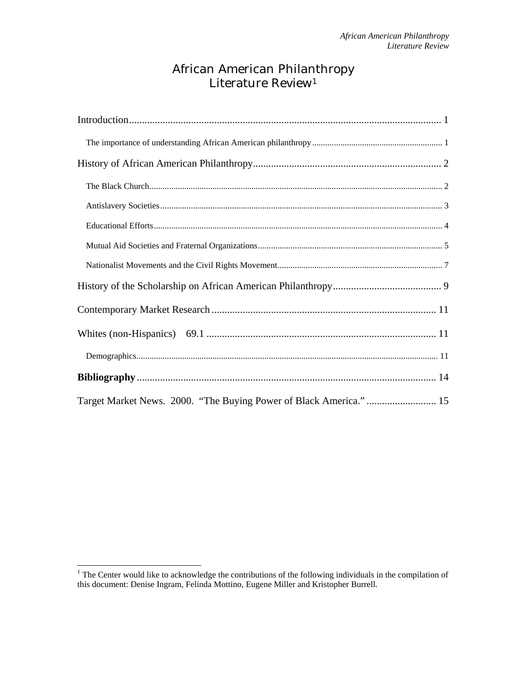## African American Philanthropy Literature Review<sup>[1](#page-1-0)</sup>

| Target Market News. 2000. "The Buying Power of Black America." 15 |  |
|-------------------------------------------------------------------|--|

<span id="page-1-0"></span><sup>&</sup>lt;sup>1</sup> The Center would like to acknowledge the contributions of the following individuals in the compilation of this document: Denise Ingram, Felinda Mottino, Eugene Miller and Kristopher Burrell.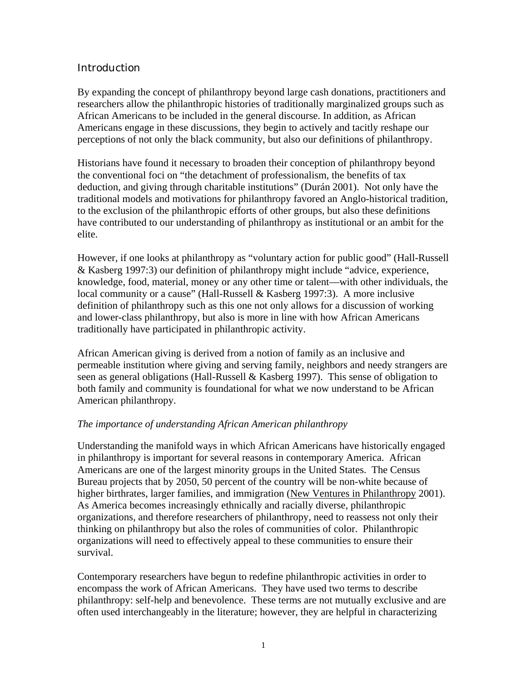## <span id="page-2-0"></span>**Introduction**

By expanding the concept of philanthropy beyond large cash donations, practitioners and researchers allow the philanthropic histories of traditionally marginalized groups such as African Americans to be included in the general discourse. In addition, as African Americans engage in these discussions, they begin to actively and tacitly reshape our perceptions of not only the black community, but also our definitions of philanthropy.

Historians have found it necessary to broaden their conception of philanthropy beyond the conventional foci on "the detachment of professionalism, the benefits of tax deduction, and giving through charitable institutions" (Durán 2001). Not only have the traditional models and motivations for philanthropy favored an Anglo-historical tradition, to the exclusion of the philanthropic efforts of other groups, but also these definitions have contributed to our understanding of philanthropy as institutional or an ambit for the elite.

However, if one looks at philanthropy as "voluntary action for public good" (Hall-Russell & Kasberg 1997:3) our definition of philanthropy might include "advice, experience, knowledge, food, material, money or any other time or talent—with other individuals, the local community or a cause" (Hall-Russell & Kasberg 1997:3). A more inclusive definition of philanthropy such as this one not only allows for a discussion of working and lower-class philanthropy, but also is more in line with how African Americans traditionally have participated in philanthropic activity.

African American giving is derived from a notion of family as an inclusive and permeable institution where giving and serving family, neighbors and needy strangers are seen as general obligations (Hall-Russell & Kasberg 1997). This sense of obligation to both family and community is foundational for what we now understand to be African American philanthropy.

#### *The importance of understanding African American philanthropy*

Understanding the manifold ways in which African Americans have historically engaged in philanthropy is important for several reasons in contemporary America. African Americans are one of the largest minority groups in the United States. The Census Bureau projects that by 2050, 50 percent of the country will be non-white because of higher birthrates, larger families, and immigration (New Ventures in Philanthropy 2001). As America becomes increasingly ethnically and racially diverse, philanthropic organizations, and therefore researchers of philanthropy, need to reassess not only their thinking on philanthropy but also the roles of communities of color. Philanthropic organizations will need to effectively appeal to these communities to ensure their survival.

Contemporary researchers have begun to redefine philanthropic activities in order to encompass the work of African Americans. They have used two terms to describe philanthropy: self-help and benevolence. These terms are not mutually exclusive and are often used interchangeably in the literature; however, they are helpful in characterizing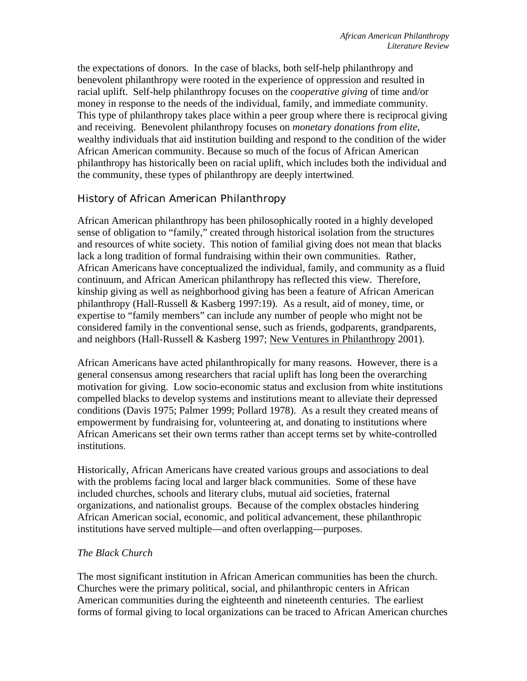<span id="page-3-0"></span>the expectations of donors. In the case of blacks, both self-help philanthropy and benevolent philanthropy were rooted in the experience of oppression and resulted in racial uplift. Self-help philanthropy focuses on the *cooperative giving* of time and/or money in response to the needs of the individual, family, and immediate community. This type of philanthropy takes place within a peer group where there is reciprocal giving and receiving. Benevolent philanthropy focuses on *monetary donations from elite*, wealthy individuals that aid institution building and respond to the condition of the wider African American community. Because so much of the focus of African American philanthropy has historically been on racial uplift, which includes both the individual and the community, these types of philanthropy are deeply intertwined.

## History of African American Philanthropy

African American philanthropy has been philosophically rooted in a highly developed sense of obligation to "family," created through historical isolation from the structures and resources of white society. This notion of familial giving does not mean that blacks lack a long tradition of formal fundraising within their own communities. Rather, African Americans have conceptualized the individual, family, and community as a fluid continuum, and African American philanthropy has reflected this view. Therefore, kinship giving as well as neighborhood giving has been a feature of African American philanthropy (Hall-Russell & Kasberg 1997:19). As a result, aid of money, time, or expertise to "family members" can include any number of people who might not be considered family in the conventional sense, such as friends, godparents, grandparents, and neighbors (Hall-Russell & Kasberg 1997; New Ventures in Philanthropy 2001).

African Americans have acted philanthropically for many reasons. However, there is a general consensus among researchers that racial uplift has long been the overarching motivation for giving. Low socio-economic status and exclusion from white institutions compelled blacks to develop systems and institutions meant to alleviate their depressed conditions (Davis 1975; Palmer 1999; Pollard 1978). As a result they created means of empowerment by fundraising for, volunteering at, and donating to institutions where African Americans set their own terms rather than accept terms set by white-controlled institutions.

Historically, African Americans have created various groups and associations to deal with the problems facing local and larger black communities. Some of these have included churches, schools and literary clubs, mutual aid societies, fraternal organizations, and nationalist groups. Because of the complex obstacles hindering African American social, economic, and political advancement, these philanthropic institutions have served multiple—and often overlapping—purposes.

## *The Black Church*

The most significant institution in African American communities has been the church. Churches were the primary political, social, and philanthropic centers in African American communities during the eighteenth and nineteenth centuries. The earliest forms of formal giving to local organizations can be traced to African American churches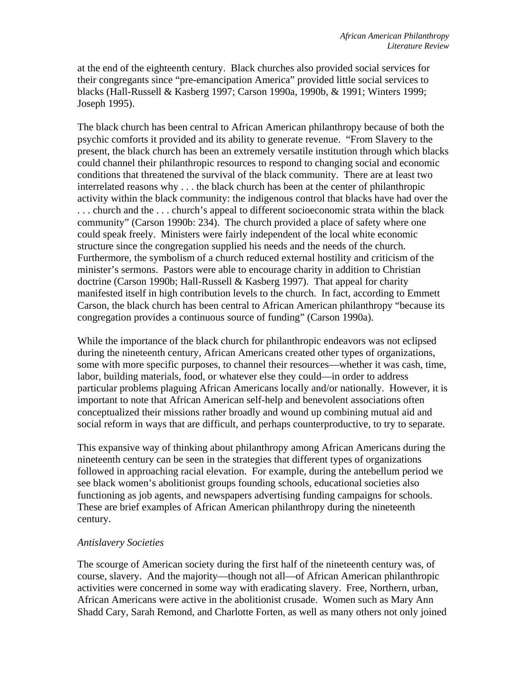<span id="page-4-0"></span>at the end of the eighteenth century. Black churches also provided social services for their congregants since "pre-emancipation America" provided little social services to blacks (Hall-Russell & Kasberg 1997; Carson 1990a, 1990b, & 1991; Winters 1999; Joseph 1995).

The black church has been central to African American philanthropy because of both the psychic comforts it provided and its ability to generate revenue. "From Slavery to the present, the black church has been an extremely versatile institution through which blacks could channel their philanthropic resources to respond to changing social and economic conditions that threatened the survival of the black community. There are at least two interrelated reasons why . . . the black church has been at the center of philanthropic activity within the black community: the indigenous control that blacks have had over the . . . church and the . . . church's appeal to different socioeconomic strata within the black community" (Carson 1990b: 234). The church provided a place of safety where one could speak freely. Ministers were fairly independent of the local white economic structure since the congregation supplied his needs and the needs of the church. Furthermore, the symbolism of a church reduced external hostility and criticism of the minister's sermons. Pastors were able to encourage charity in addition to Christian doctrine (Carson 1990b; Hall-Russell & Kasberg 1997). That appeal for charity manifested itself in high contribution levels to the church. In fact, according to Emmett Carson, the black church has been central to African American philanthropy "because its congregation provides a continuous source of funding" (Carson 1990a).

While the importance of the black church for philanthropic endeavors was not eclipsed during the nineteenth century, African Americans created other types of organizations, some with more specific purposes, to channel their resources—whether it was cash, time, labor, building materials, food, or whatever else they could—in order to address particular problems plaguing African Americans locally and/or nationally. However, it is important to note that African American self-help and benevolent associations often conceptualized their missions rather broadly and wound up combining mutual aid and social reform in ways that are difficult, and perhaps counterproductive, to try to separate.

This expansive way of thinking about philanthropy among African Americans during the nineteenth century can be seen in the strategies that different types of organizations followed in approaching racial elevation. For example, during the antebellum period we see black women's abolitionist groups founding schools, educational societies also functioning as job agents, and newspapers advertising funding campaigns for schools. These are brief examples of African American philanthropy during the nineteenth century.

#### *Antislavery Societies*

The scourge of American society during the first half of the nineteenth century was, of course, slavery. And the majority—though not all—of African American philanthropic activities were concerned in some way with eradicating slavery. Free, Northern, urban, African Americans were active in the abolitionist crusade. Women such as Mary Ann Shadd Cary, Sarah Remond, and Charlotte Forten, as well as many others not only joined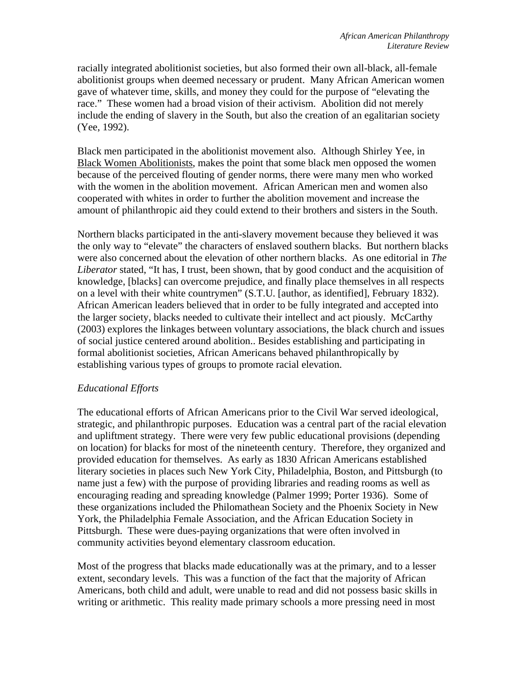<span id="page-5-0"></span>racially integrated abolitionist societies, but also formed their own all-black, all-female abolitionist groups when deemed necessary or prudent. Many African American women gave of whatever time, skills, and money they could for the purpose of "elevating the race." These women had a broad vision of their activism. Abolition did not merely include the ending of slavery in the South, but also the creation of an egalitarian society (Yee, 1992).

Black men participated in the abolitionist movement also. Although Shirley Yee, in Black Women Abolitionists, makes the point that some black men opposed the women because of the perceived flouting of gender norms, there were many men who worked with the women in the abolition movement. African American men and women also cooperated with whites in order to further the abolition movement and increase the amount of philanthropic aid they could extend to their brothers and sisters in the South.

Northern blacks participated in the anti-slavery movement because they believed it was the only way to "elevate" the characters of enslaved southern blacks. But northern blacks were also concerned about the elevation of other northern blacks. As one editorial in *The Liberator* stated, "It has, I trust, been shown, that by good conduct and the acquisition of knowledge, [blacks] can overcome prejudice, and finally place themselves in all respects on a level with their white countrymen" (S.T.U. [author, as identified], February 1832). African American leaders believed that in order to be fully integrated and accepted into the larger society, blacks needed to cultivate their intellect and act piously. McCarthy (2003) explores the linkages between voluntary associations, the black church and issues of social justice centered around abolition.. Besides establishing and participating in formal abolitionist societies, African Americans behaved philanthropically by establishing various types of groups to promote racial elevation.

#### *Educational Efforts*

The educational efforts of African Americans prior to the Civil War served ideological, strategic, and philanthropic purposes. Education was a central part of the racial elevation and upliftment strategy. There were very few public educational provisions (depending on location) for blacks for most of the nineteenth century. Therefore, they organized and provided education for themselves. As early as 1830 African Americans established literary societies in places such New York City, Philadelphia, Boston, and Pittsburgh (to name just a few) with the purpose of providing libraries and reading rooms as well as encouraging reading and spreading knowledge (Palmer 1999; Porter 1936). Some of these organizations included the Philomathean Society and the Phoenix Society in New York, the Philadelphia Female Association, and the African Education Society in Pittsburgh. These were dues-paying organizations that were often involved in community activities beyond elementary classroom education.

Most of the progress that blacks made educationally was at the primary, and to a lesser extent, secondary levels. This was a function of the fact that the majority of African Americans, both child and adult, were unable to read and did not possess basic skills in writing or arithmetic. This reality made primary schools a more pressing need in most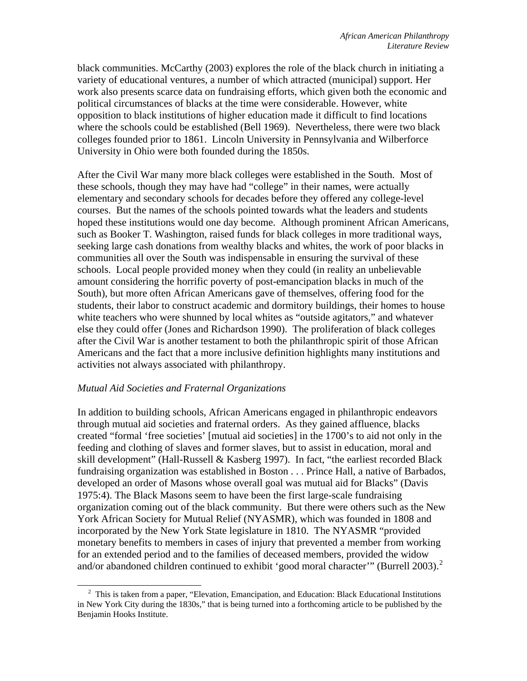<span id="page-6-0"></span>black communities. McCarthy (2003) explores the role of the black church in initiating a variety of educational ventures, a number of which attracted (municipal) support. Her work also presents scarce data on fundraising efforts, which given both the economic and political circumstances of blacks at the time were considerable. However, white opposition to black institutions of higher education made it difficult to find locations where the schools could be established (Bell 1969). Nevertheless, there were two black colleges founded prior to 1861. Lincoln University in Pennsylvania and Wilberforce University in Ohio were both founded during the 1850s.

After the Civil War many more black colleges were established in the South. Most of these schools, though they may have had "college" in their names, were actually elementary and secondary schools for decades before they offered any college-level courses. But the names of the schools pointed towards what the leaders and students hoped these institutions would one day become. Although prominent African Americans, such as Booker T. Washington, raised funds for black colleges in more traditional ways, seeking large cash donations from wealthy blacks and whites, the work of poor blacks in communities all over the South was indispensable in ensuring the survival of these schools. Local people provided money when they could (in reality an unbelievable amount considering the horrific poverty of post-emancipation blacks in much of the South), but more often African Americans gave of themselves, offering food for the students, their labor to construct academic and dormitory buildings, their homes to house white teachers who were shunned by local whites as "outside agitators," and whatever else they could offer (Jones and Richardson 1990). The proliferation of black colleges after the Civil War is another testament to both the philanthropic spirit of those African Americans and the fact that a more inclusive definition highlights many institutions and activities not always associated with philanthropy.

#### *Mutual Aid Societies and Fraternal Organizations*

l

In addition to building schools, African Americans engaged in philanthropic endeavors through mutual aid societies and fraternal orders. As they gained affluence, blacks created "formal 'free societies' [mutual aid societies] in the 1700's to aid not only in the feeding and clothing of slaves and former slaves, but to assist in education, moral and skill development" (Hall-Russell & Kasberg 1997). In fact, "the earliest recorded Black fundraising organization was established in Boston . . . Prince Hall, a native of Barbados, developed an order of Masons whose overall goal was mutual aid for Blacks" (Davis 1975:4). The Black Masons seem to have been the first large-scale fundraising organization coming out of the black community. But there were others such as the New York African Society for Mutual Relief (NYASMR), which was founded in 1808 and incorporated by the New York State legislature in 1810. The NYASMR "provided monetary benefits to members in cases of injury that prevented a member from working for an extended period and to the families of deceased members, provided the widow and/or abandoned children continued to exhibit 'good moral character'" (Burrell [2](#page-6-1)003).<sup>2</sup>

<span id="page-6-1"></span><sup>&</sup>lt;sup>2</sup> This is taken from a paper, "Elevation, Emancipation, and Education: Black Educational Institutions in New York City during the 1830s," that is being turned into a forthcoming article to be published by the Benjamin Hooks Institute.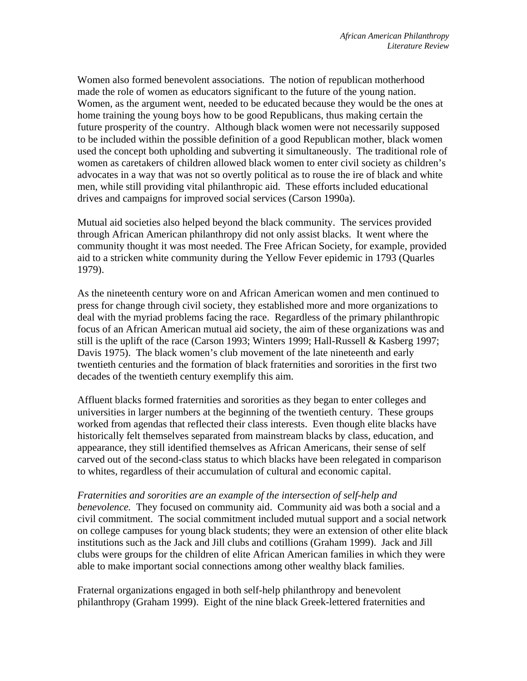Women also formed benevolent associations. The notion of republican motherhood made the role of women as educators significant to the future of the young nation. Women, as the argument went, needed to be educated because they would be the ones at home training the young boys how to be good Republicans, thus making certain the future prosperity of the country. Although black women were not necessarily supposed to be included within the possible definition of a good Republican mother, black women used the concept both upholding and subverting it simultaneously. The traditional role of women as caretakers of children allowed black women to enter civil society as children's advocates in a way that was not so overtly political as to rouse the ire of black and white men, while still providing vital philanthropic aid. These efforts included educational drives and campaigns for improved social services (Carson 1990a).

Mutual aid societies also helped beyond the black community. The services provided through African American philanthropy did not only assist blacks. It went where the community thought it was most needed. The Free African Society, for example, provided aid to a stricken white community during the Yellow Fever epidemic in 1793 (Quarles 1979).

As the nineteenth century wore on and African American women and men continued to press for change through civil society, they established more and more organizations to deal with the myriad problems facing the race. Regardless of the primary philanthropic focus of an African American mutual aid society, the aim of these organizations was and still is the uplift of the race (Carson 1993; Winters 1999; Hall-Russell & Kasberg 1997; Davis 1975). The black women's club movement of the late nineteenth and early twentieth centuries and the formation of black fraternities and sororities in the first two decades of the twentieth century exemplify this aim.

Affluent blacks formed fraternities and sororities as they began to enter colleges and universities in larger numbers at the beginning of the twentieth century. These groups worked from agendas that reflected their class interests. Even though elite blacks have historically felt themselves separated from mainstream blacks by class, education, and appearance, they still identified themselves as African Americans, their sense of self carved out of the second-class status to which blacks have been relegated in comparison to whites, regardless of their accumulation of cultural and economic capital.

#### *Fraternities and sororities are an example of the intersection of self-help and*

*benevolence.* They focused on community aid. Community aid was both a social and a civil commitment. The social commitment included mutual support and a social network on college campuses for young black students; they were an extension of other elite black institutions such as the Jack and Jill clubs and cotillions (Graham 1999). Jack and Jill clubs were groups for the children of elite African American families in which they were able to make important social connections among other wealthy black families.

Fraternal organizations engaged in both self-help philanthropy and benevolent philanthropy (Graham 1999). Eight of the nine black Greek-lettered fraternities and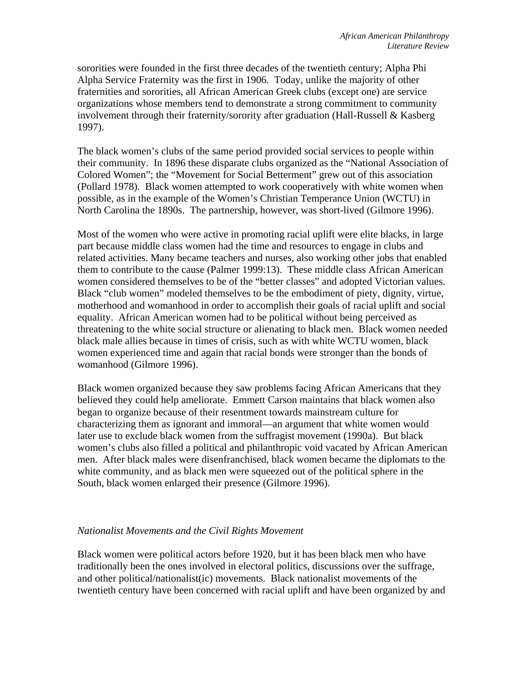<span id="page-8-0"></span>sororities were founded in the first three decades of the twentieth century; Alpha Phi Alpha Service Fraternity was the first in 1906. Today, unlike the majority of other fraternities and sororities, all African American Greek clubs (except one) are service organizations whose members tend to demonstrate a strong commitment to community involvement through their fraternity/sorority after graduation (Hall-Russell & Kasberg 1997).

The black women's clubs of the same period provided social services to people within their community. In 1896 these disparate clubs organized as the "National Association of Colored Women"; the "Movement for Social Betterment" grew out of this association (Pollard 1978). Black women attempted to work cooperatively with white women when possible, as in the example of the Women's Christian Temperance Union (WCTU) in North Carolina the 1890s. The partnership, however, was short-lived (Gilmore 1996).

Most of the women who were active in promoting racial uplift were elite blacks, in large part because middle class women had the time and resources to engage in clubs and related activities. Many became teachers and nurses, also working other jobs that enabled them to contribute to the cause (Palmer 1999:13). These middle class African American women considered themselves to be of the "better classes" and adopted Victorian values. Black "club women" modeled themselves to be the embodiment of piety, dignity, virtue, motherhood and womanhood in order to accomplish their goals of racial uplift and social equality. African American women had to be political without being perceived as threatening to the white social structure or alienating to black men. Black women needed black male allies because in times of crisis, such as with white WCTU women, black women experienced time and again that racial bonds were stronger than the bonds of womanhood (Gilmore 1996).

Black women organized because they saw problems facing African Americans that they believed they could help ameliorate. Emmett Carson maintains that black women also began to organize because of their resentment towards mainstream culture for characterizing them as ignorant and immoral—an argument that white women would later use to exclude black women from the suffragist movement (1990a). But black women's clubs also filled a political and philanthropic void vacated by African American men. After black males were disenfranchised, black women became the diplomats to the white community, and as black men were squeezed out of the political sphere in the South, black women enlarged their presence (Gilmore 1996).

#### *Nationalist Movements and the Civil Rights Movement*

Black women were political actors before 1920, but it has been black men who have traditionally been the ones involved in electoral politics, discussions over the suffrage, and other political/nationalist(ic) movements. Black nationalist movements of the twentieth century have been concerned with racial uplift and have been organized by and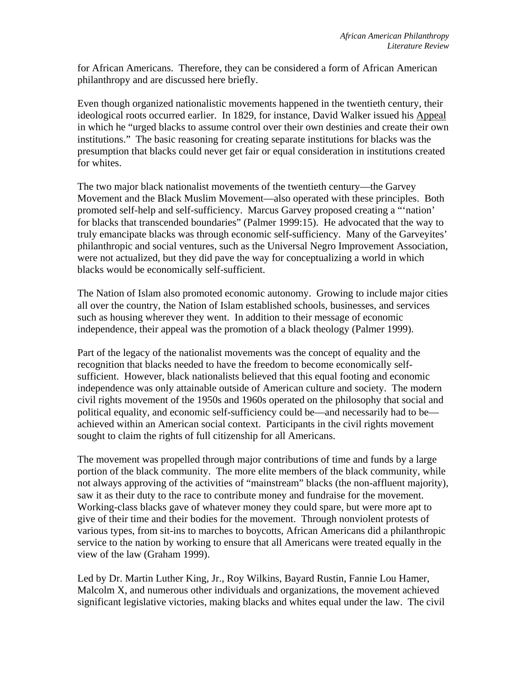for African Americans. Therefore, they can be considered a form of African American philanthropy and are discussed here briefly.

Even though organized nationalistic movements happened in the twentieth century, their ideological roots occurred earlier. In 1829, for instance, David Walker issued his Appeal in which he "urged blacks to assume control over their own destinies and create their own institutions." The basic reasoning for creating separate institutions for blacks was the presumption that blacks could never get fair or equal consideration in institutions created for whites.

The two major black nationalist movements of the twentieth century—the Garvey Movement and the Black Muslim Movement—also operated with these principles. Both promoted self-help and self-sufficiency. Marcus Garvey proposed creating a "'nation' for blacks that transcended boundaries" (Palmer 1999:15). He advocated that the way to truly emancipate blacks was through economic self-sufficiency. Many of the Garveyites' philanthropic and social ventures, such as the Universal Negro Improvement Association, were not actualized, but they did pave the way for conceptualizing a world in which blacks would be economically self-sufficient.

The Nation of Islam also promoted economic autonomy. Growing to include major cities all over the country, the Nation of Islam established schools, businesses, and services such as housing wherever they went. In addition to their message of economic independence, their appeal was the promotion of a black theology (Palmer 1999).

Part of the legacy of the nationalist movements was the concept of equality and the recognition that blacks needed to have the freedom to become economically selfsufficient. However, black nationalists believed that this equal footing and economic independence was only attainable outside of American culture and society. The modern civil rights movement of the 1950s and 1960s operated on the philosophy that social and political equality, and economic self-sufficiency could be—and necessarily had to be achieved within an American social context. Participants in the civil rights movement sought to claim the rights of full citizenship for all Americans.

The movement was propelled through major contributions of time and funds by a large portion of the black community. The more elite members of the black community, while not always approving of the activities of "mainstream" blacks (the non-affluent majority), saw it as their duty to the race to contribute money and fundraise for the movement. Working-class blacks gave of whatever money they could spare, but were more apt to give of their time and their bodies for the movement. Through nonviolent protests of various types, from sit-ins to marches to boycotts, African Americans did a philanthropic service to the nation by working to ensure that all Americans were treated equally in the view of the law (Graham 1999).

Led by Dr. Martin Luther King, Jr., Roy Wilkins, Bayard Rustin, Fannie Lou Hamer, Malcolm X, and numerous other individuals and organizations, the movement achieved significant legislative victories, making blacks and whites equal under the law. The civil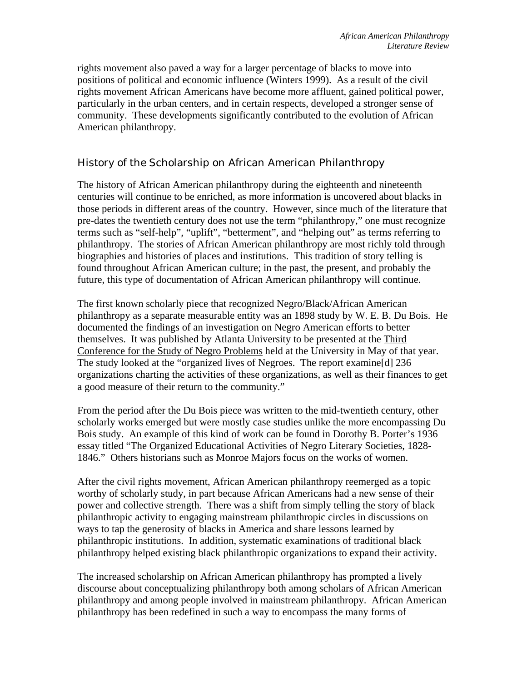<span id="page-10-0"></span>rights movement also paved a way for a larger percentage of blacks to move into positions of political and economic influence (Winters 1999). As a result of the civil rights movement African Americans have become more affluent, gained political power, particularly in the urban centers, and in certain respects, developed a stronger sense of community. These developments significantly contributed to the evolution of African American philanthropy.

## History of the Scholarship on African American Philanthropy

The history of African American philanthropy during the eighteenth and nineteenth centuries will continue to be enriched, as more information is uncovered about blacks in those periods in different areas of the country. However, since much of the literature that pre-dates the twentieth century does not use the term "philanthropy," one must recognize terms such as "self-help", "uplift", "betterment", and "helping out" as terms referring to philanthropy. The stories of African American philanthropy are most richly told through biographies and histories of places and institutions. This tradition of story telling is found throughout African American culture; in the past, the present, and probably the future, this type of documentation of African American philanthropy will continue.

The first known scholarly piece that recognized Negro/Black/African American philanthropy as a separate measurable entity was an 1898 study by W. E. B. Du Bois. He documented the findings of an investigation on Negro American efforts to better themselves. It was published by Atlanta University to be presented at the Third Conference for the Study of Negro Problems held at the University in May of that year. The study looked at the "organized lives of Negroes. The report examine[d] 236 organizations charting the activities of these organizations, as well as their finances to get a good measure of their return to the community."

From the period after the Du Bois piece was written to the mid-twentieth century, other scholarly works emerged but were mostly case studies unlike the more encompassing Du Bois study. An example of this kind of work can be found in Dorothy B. Porter's 1936 essay titled "The Organized Educational Activities of Negro Literary Societies, 1828- 1846." Others historians such as Monroe Majors focus on the works of women.

After the civil rights movement, African American philanthropy reemerged as a topic worthy of scholarly study, in part because African Americans had a new sense of their power and collective strength. There was a shift from simply telling the story of black philanthropic activity to engaging mainstream philanthropic circles in discussions on ways to tap the generosity of blacks in America and share lessons learned by philanthropic institutions. In addition, systematic examinations of traditional black philanthropy helped existing black philanthropic organizations to expand their activity.

The increased scholarship on African American philanthropy has prompted a lively discourse about conceptualizing philanthropy both among scholars of African American philanthropy and among people involved in mainstream philanthropy. African American philanthropy has been redefined in such a way to encompass the many forms of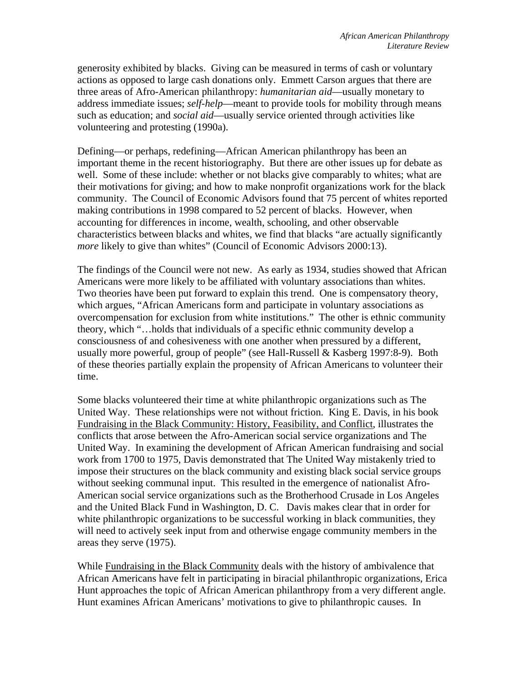generosity exhibited by blacks. Giving can be measured in terms of cash or voluntary actions as opposed to large cash donations only. Emmett Carson argues that there are three areas of Afro-American philanthropy: *humanitarian aid*—usually monetary to address immediate issues; *self-help*—meant to provide tools for mobility through means such as education; and *social aid*—usually service oriented through activities like volunteering and protesting (1990a).

Defining—or perhaps, redefining—African American philanthropy has been an important theme in the recent historiography. But there are other issues up for debate as well. Some of these include: whether or not blacks give comparably to whites; what are their motivations for giving; and how to make nonprofit organizations work for the black community. The Council of Economic Advisors found that 75 percent of whites reported making contributions in 1998 compared to 52 percent of blacks. However, when accounting for differences in income, wealth, schooling, and other observable characteristics between blacks and whites, we find that blacks "are actually significantly *more* likely to give than whites" (Council of Economic Advisors 2000:13).

The findings of the Council were not new. As early as 1934, studies showed that African Americans were more likely to be affiliated with voluntary associations than whites. Two theories have been put forward to explain this trend. One is compensatory theory, which argues, "African Americans form and participate in voluntary associations as overcompensation for exclusion from white institutions." The other is ethnic community theory, which "…holds that individuals of a specific ethnic community develop a consciousness of and cohesiveness with one another when pressured by a different, usually more powerful, group of people" (see Hall-Russell & Kasberg 1997:8-9). Both of these theories partially explain the propensity of African Americans to volunteer their time.

Some blacks volunteered their time at white philanthropic organizations such as The United Way. These relationships were not without friction. King E. Davis, in his book Fundraising in the Black Community: History, Feasibility, and Conflict, illustrates the conflicts that arose between the Afro-American social service organizations and The United Way. In examining the development of African American fundraising and social work from 1700 to 1975, Davis demonstrated that The United Way mistakenly tried to impose their structures on the black community and existing black social service groups without seeking communal input. This resulted in the emergence of nationalist Afro-American social service organizations such as the Brotherhood Crusade in Los Angeles and the United Black Fund in Washington, D. C. Davis makes clear that in order for white philanthropic organizations to be successful working in black communities, they will need to actively seek input from and otherwise engage community members in the areas they serve (1975).

While Fundraising in the Black Community deals with the history of ambivalence that African Americans have felt in participating in biracial philanthropic organizations, Erica Hunt approaches the topic of African American philanthropy from a very different angle. Hunt examines African Americans' motivations to give to philanthropic causes. In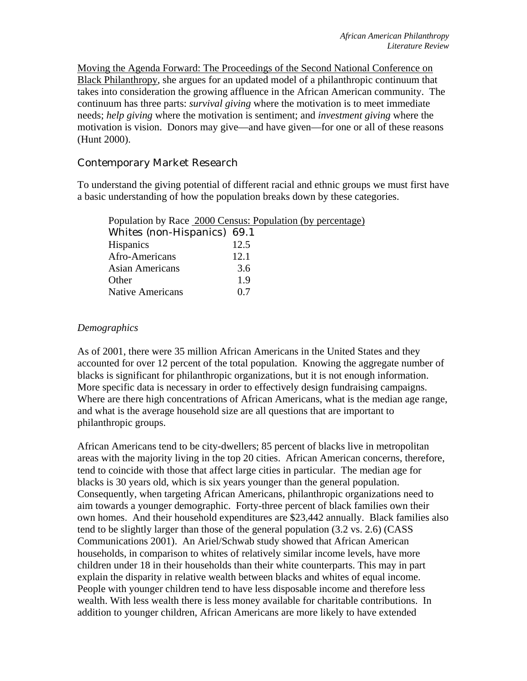<span id="page-12-0"></span>Moving the Agenda Forward: The Proceedings of the Second National Conference on Black Philanthropy, she argues for an updated model of a philanthropic continuum that takes into consideration the growing affluence in the African American community. The continuum has three parts: *survival giving* where the motivation is to meet immediate needs; *help giving* where the motivation is sentiment; and *investment giving* where the motivation is vision. Donors may give—and have given—for one or all of these reasons (Hunt 2000).

## Contemporary Market Research

To understand the giving potential of different racial and ethnic groups we must first have a basic understanding of how the population breaks down by these categories.

| Population by Race 2000 Census: Population (by percentage) |
|------------------------------------------------------------|
| Whites (non-Hispanics) 69.1                                |
| 12.5                                                       |
| 12.1                                                       |
| 3.6                                                        |
| 19                                                         |
| 07                                                         |
|                                                            |

### *Demographics*

As of 2001, there were 35 million African Americans in the United States and they accounted for over 12 percent of the total population. Knowing the aggregate number of blacks is significant for philanthropic organizations, but it is not enough information. More specific data is necessary in order to effectively design fundraising campaigns. Where are there high concentrations of African Americans, what is the median age range, and what is the average household size are all questions that are important to philanthropic groups.

African Americans tend to be city-dwellers; 85 percent of blacks live in metropolitan areas with the majority living in the top 20 cities. African American concerns, therefore, tend to coincide with those that affect large cities in particular. The median age for blacks is 30 years old, which is six years younger than the general population. Consequently, when targeting African Americans, philanthropic organizations need to aim towards a younger demographic. Forty-three percent of black families own their own homes. And their household expenditures are \$23,442 annually. Black families also tend to be slightly larger than those of the general population (3.2 vs. 2.6) (CASS Communications 2001). An Ariel/Schwab study showed that African American households, in comparison to whites of relatively similar income levels, have more children under 18 in their households than their white counterparts. This may in part explain the disparity in relative wealth between blacks and whites of equal income. People with younger children tend to have less disposable income and therefore less wealth. With less wealth there is less money available for charitable contributions. In addition to younger children, African Americans are more likely to have extended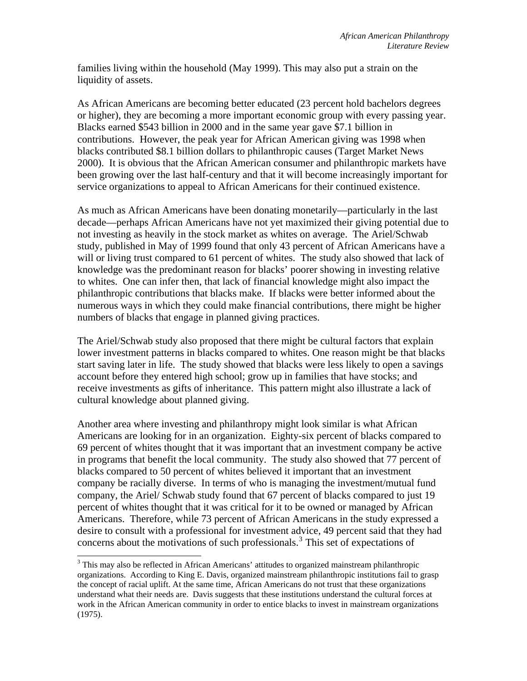families living within the household (May 1999). This may also put a strain on the liquidity of assets.

As African Americans are becoming better educated (23 percent hold bachelors degrees or higher), they are becoming a more important economic group with every passing year. Blacks earned \$543 billion in 2000 and in the same year gave \$7.1 billion in contributions. However, the peak year for African American giving was 1998 when blacks contributed \$8.1 billion dollars to philanthropic causes (Target Market News 2000). It is obvious that the African American consumer and philanthropic markets have been growing over the last half-century and that it will become increasingly important for service organizations to appeal to African Americans for their continued existence.

As much as African Americans have been donating monetarily—particularly in the last decade—perhaps African Americans have not yet maximized their giving potential due to not investing as heavily in the stock market as whites on average. The Ariel/Schwab study, published in May of 1999 found that only 43 percent of African Americans have a will or living trust compared to 61 percent of whites. The study also showed that lack of knowledge was the predominant reason for blacks' poorer showing in investing relative to whites. One can infer then, that lack of financial knowledge might also impact the philanthropic contributions that blacks make. If blacks were better informed about the numerous ways in which they could make financial contributions, there might be higher numbers of blacks that engage in planned giving practices.

The Ariel/Schwab study also proposed that there might be cultural factors that explain lower investment patterns in blacks compared to whites. One reason might be that blacks start saving later in life. The study showed that blacks were less likely to open a savings account before they entered high school; grow up in families that have stocks; and receive investments as gifts of inheritance. This pattern might also illustrate a lack of cultural knowledge about planned giving.

Another area where investing and philanthropy might look similar is what African Americans are looking for in an organization. Eighty-six percent of blacks compared to 69 percent of whites thought that it was important that an investment company be active in programs that benefit the local community. The study also showed that 77 percent of blacks compared to 50 percent of whites believed it important that an investment company be racially diverse. In terms of who is managing the investment/mutual fund company, the Ariel/ Schwab study found that 67 percent of blacks compared to just 19 percent of whites thought that it was critical for it to be owned or managed by African Americans. Therefore, while 73 percent of African Americans in the study expressed a desire to consult with a professional for investment advice, 49 percent said that they had concerns about the motivations of such professionals.<sup>[3](#page-13-0)</sup> This set of expectations of

l

<span id="page-13-0"></span> $3$  This may also be reflected in African Americans' attitudes to organized mainstream philanthropic organizations. According to King E. Davis, organized mainstream philanthropic institutions fail to grasp the concept of racial uplift. At the same time, African Americans do not trust that these organizations understand what their needs are. Davis suggests that these institutions understand the cultural forces at work in the African American community in order to entice blacks to invest in mainstream organizations (1975).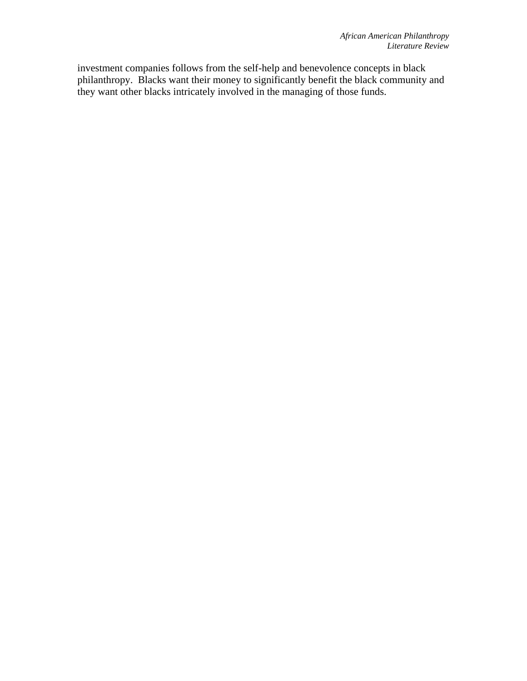investment companies follows from the self-help and benevolence concepts in black philanthropy. Blacks want their money to significantly benefit the black community and they want other blacks intricately involved in the managing of those funds.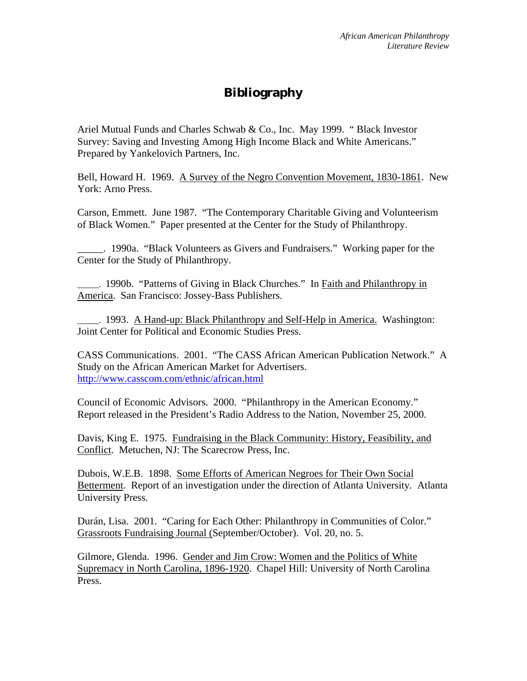# **Bibliography**

<span id="page-15-0"></span>Ariel Mutual Funds and Charles Schwab & Co., Inc. May 1999. " Black Investor Survey: Saving and Investing Among High Income Black and White Americans." Prepared by Yankelovich Partners, Inc.

Bell, Howard H. 1969. A Survey of the Negro Convention Movement, 1830-1861. New York: Arno Press.

Carson, Emmett. June 1987. "The Contemporary Charitable Giving and Volunteerism of Black Women." Paper presented at the Center for the Study of Philanthropy.

\_\_\_\_\_. 1990a. "Black Volunteers as Givers and Fundraisers." Working paper for the Center for the Study of Philanthropy.

\_\_\_\_\_. 1990b. "Patterns of Giving in Black Churches." In Faith and Philanthropy in America. San Francisco: Jossey-Bass Publishers.

\_\_\_\_\_. 1993. A Hand-up: Black Philanthropy and Self-Help in America. Washington: Joint Center for Political and Economic Studies Press.

CASS Communications. 2001. "The CASS African American Publication Network." A Study on the African American Market for Advertisers. <http://www.casscom.com/ethnic/african.html>

Council of Economic Advisors. 2000. "Philanthropy in the American Economy." Report released in the President's Radio Address to the Nation, November 25, 2000.

Davis, King E. 1975. Fundraising in the Black Community: History, Feasibility, and Conflict. Metuchen, NJ: The Scarecrow Press, Inc.

Dubois, W.E.B. 1898. Some Efforts of American Negroes for Their Own Social Betterment. Report of an investigation under the direction of Atlanta University*.* Atlanta University Press.

Durán, Lisa. 2001. "Caring for Each Other: Philanthropy in Communities of Color." Grassroots Fundraising Journal (September/October). Vol. 20, no. 5.

Gilmore, Glenda. 1996. Gender and Jim Crow: Women and the Politics of White Supremacy in North Carolina, 1896-1920. Chapel Hill: University of North Carolina Press.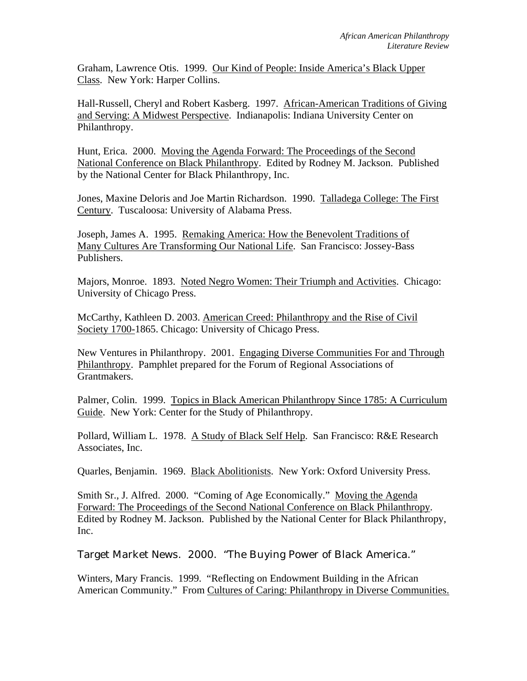<span id="page-16-0"></span>Graham, Lawrence Otis. 1999. Our Kind of People: Inside America's Black Upper Class. New York: Harper Collins.

Hall-Russell, Cheryl and Robert Kasberg. 1997. African-American Traditions of Giving and Serving: A Midwest Perspective. Indianapolis: Indiana University Center on Philanthropy.

Hunt, Erica. 2000. Moving the Agenda Forward: The Proceedings of the Second National Conference on Black Philanthropy. Edited by Rodney M. Jackson. Published by the National Center for Black Philanthropy, Inc.

Jones, Maxine Deloris and Joe Martin Richardson. 1990. Talladega College: The First Century. Tuscaloosa: University of Alabama Press.

Joseph, James A. 1995. Remaking America: How the Benevolent Traditions of Many Cultures Are Transforming Our National Life. San Francisco: Jossey-Bass Publishers.

Majors, Monroe. 1893. Noted Negro Women: Their Triumph and Activities. Chicago: University of Chicago Press.

McCarthy, Kathleen D. 2003. American Creed: Philanthropy and the Rise of Civil Society 1700-1865. Chicago: University of Chicago Press.

New Ventures in Philanthropy. 2001. Engaging Diverse Communities For and Through Philanthropy. Pamphlet prepared for the Forum of Regional Associations of Grantmakers.

Palmer, Colin. 1999. Topics in Black American Philanthropy Since 1785: A Curriculum Guide. New York: Center for the Study of Philanthropy.

Pollard, William L. 1978. A Study of Black Self Help. San Francisco: R&E Research Associates, Inc.

Quarles, Benjamin. 1969. Black Abolitionists. New York: Oxford University Press.

Smith Sr., J. Alfred. 2000. "Coming of Age Economically." Moving the Agenda Forward: The Proceedings of the Second National Conference on Black Philanthropy. Edited by Rodney M. Jackson. Published by the National Center for Black Philanthropy, Inc.

Target Market News. 2000. "The Buying Power of Black America."

Winters, Mary Francis. 1999. "Reflecting on Endowment Building in the African American Community." From Cultures of Caring: Philanthropy in Diverse Communities.